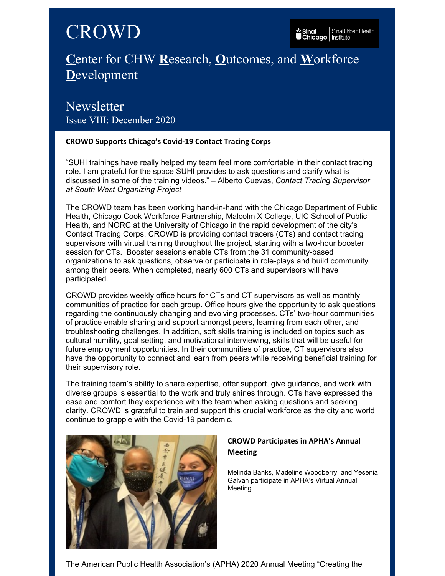# CROWD

# **C**enter for CHW **R**esearch, **O**utcomes, and **W**orkforce **D**evelopment

**Newsletter** Issue VIII: December 2020

#### **CROWD Supports Chicago's Covid-19 Contact Tracing Corps**

"SUHI trainings have really helped my team feel more comfortable in their contact tracing role. I am grateful for the space SUHI provides to ask questions and clarify what is discussed in some of the training videos." – Alberto Cuevas, *Contact Tracing Supervisor at South West Organizing Project*

The CROWD team has been working hand-in-hand with the Chicago Department of Public Health, Chicago Cook Workforce Partnership, Malcolm X College, UIC School of Public Health, and NORC at the University of Chicago in the rapid development of the city's Contact Tracing Corps. CROWD is providing contact tracers (CTs) and contact tracing supervisors with virtual training throughout the project, starting with a two-hour booster session for CTs. Booster sessions enable CTs from the 31 community-based organizations to ask questions, observe or participate in role-plays and build community among their peers. When completed, nearly 600 CTs and supervisors will have participated.

CROWD provides weekly office hours for CTs and CT supervisors as well as monthly communities of practice for each group. Office hours give the opportunity to ask questions regarding the continuously changing and evolving processes. CTs' two-hour communities of practice enable sharing and support amongst peers, learning from each other, and troubleshooting challenges. In addition, soft skills training is included on topics such as cultural humility, goal setting, and motivational interviewing, skills that will be useful for future employment opportunities. In their communities of practice, CT supervisors also have the opportunity to connect and learn from peers while receiving beneficial training for their supervisory role.

The training team's ability to share expertise, offer support, give guidance, and work with diverse groups is essential to the work and truly shines through. CTs have expressed the ease and comfort they experience with the team when asking questions and seeking clarity. CROWD is grateful to train and support this crucial workforce as the city and world continue to grapple with the Covid-19 pandemic.



## **CROWD Participates in APHA's Annual Meeting**

Melinda Banks, Madeline Woodberry, and Yesenia Galvan participate in APHA's Virtual Annual Meeting.

The American Public Health Association's (APHA) 2020 Annual Meeting "Creating the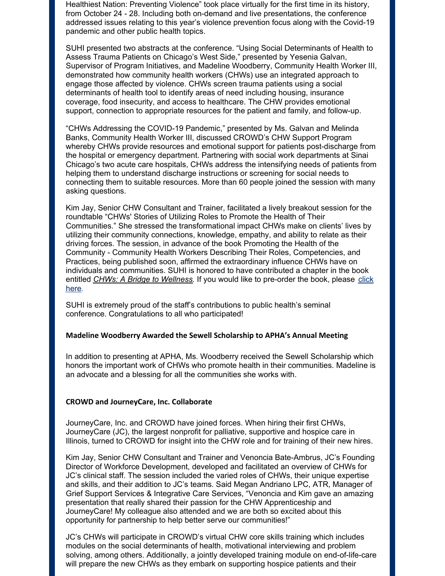Healthiest Nation: Preventing Violence" took place virtually for the first time in its history, from October 24 - 28. Including both on-demand and live presentations, the conference addressed issues relating to this year's violence prevention focus along with the Covid-19 pandemic and other public health topics.

SUHI presented two abstracts at the conference. "Using Social Determinants of Health to Assess Trauma Patients on Chicago's West Side," presented by Yesenia Galvan, Supervisor of Program Initiatives, and Madeline Woodberry, Community Health Worker III, demonstrated how community health workers (CHWs) use an integrated approach to engage those affected by violence. CHWs screen trauma patients using a social determinants of health tool to identify areas of need including housing, insurance coverage, food insecurity, and access to healthcare. The CHW provides emotional support, connection to appropriate resources for the patient and family, and follow-up.

"CHWs Addressing the COVID-19 Pandemic," presented by Ms. Galvan and Melinda Banks, Community Health Worker III, discussed CROWD's CHW Support Program whereby CHWs provide resources and emotional support for patients post-discharge from the hospital or emergency department. Partnering with social work departments at Sinai Chicago's two acute care hospitals, CHWs address the intensifying needs of patients from helping them to understand discharge instructions or screening for social needs to connecting them to suitable resources. More than 60 people joined the session with many asking questions.

Kim Jay, Senior CHW Consultant and Trainer, facilitated a lively breakout session for the roundtable "CHWs' Stories of Utilizing Roles to Promote the Health of Their Communities." She stressed the transformational impact CHWs make on clients' lives by utilizing their community connections, knowledge, empathy, and ability to relate as their driving forces. The session, in advance of the book Promoting the Health of the Community - Community Health Workers Describing Their Roles, Competencies, and Practices, being published soon, affirmed the extraordinary influence CHWs have on individuals and communities. SUHI is honored to have contributed a chapter in the book entitled *CHWs: A Bridge to [Wellness.](https://www.amazon.com/Promoting-Health-Community-Describing-Competencies/dp/303056374X)* If you would like to pre-order the book, please click here.

SUHI is extremely proud of the staff's contributions to public health's seminal conference. Congratulations to all who participated!

#### **Madeline Woodberry Awarded the Sewell Scholarship to APHA's Annual Meeting**

In addition to presenting at APHA, Ms. Woodberry received the Sewell Scholarship which honors the important work of CHWs who promote health in their communities. Madeline is an advocate and a blessing for all the communities she works with.

#### **CROWD and JourneyCare, Inc. Collaborate**

JourneyCare, Inc. and CROWD have joined forces. When hiring their first CHWs, JourneyCare (JC), the largest nonprofit for palliative, supportive and hospice care in Illinois, turned to CROWD for insight into the CHW role and for training of their new hires.

Kim Jay, Senior CHW Consultant and Trainer and Venoncia Bate-Ambrus, JC's Founding Director of Workforce Development, developed and facilitated an overview of CHWs for JC's clinical staff. The session included the varied roles of CHWs, their unique expertise and skills, and their addition to JC's teams. Said Megan Andriano LPC, ATR, Manager of Grief Support Services & Integrative Care Services, "Venoncia and Kim gave an amazing presentation that really shared their passion for the CHW Apprenticeship and JourneyCare! My colleague also attended and we are both so excited about this opportunity for partnership to help better serve our communities!"

JC's CHWs will participate in CROWD's virtual CHW core skills training which includes modules on the social determinants of health, motivational interviewing and problem solving, among others. Additionally, a jointly developed training module on end-of-life-care will prepare the new CHWs as they embark on supporting hospice patients and their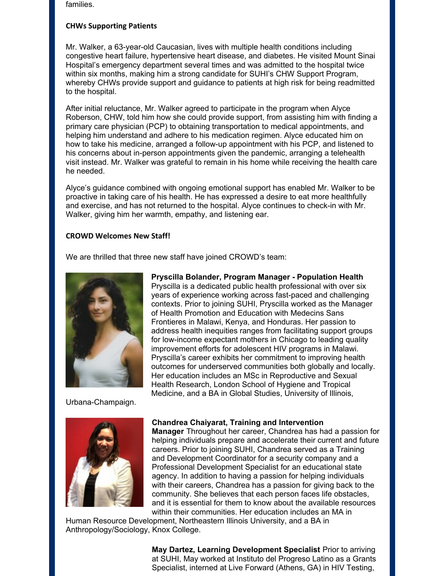families.

#### **CHWs Supporting Patients**

Mr. Walker, a 63-year-old Caucasian, lives with multiple health conditions including congestive heart failure, hypertensive heart disease, and diabetes. He visited Mount Sinai Hospital's emergency department several times and was admitted to the hospital twice within six months, making him a strong candidate for SUHI's CHW Support Program, whereby CHWs provide support and guidance to patients at high risk for being readmitted to the hospital.

After initial reluctance, Mr. Walker agreed to participate in the program when Alyce Roberson, CHW, told him how she could provide support, from assisting him with finding a primary care physician (PCP) to obtaining transportation to medical appointments, and helping him understand and adhere to his medication regimen. Alyce educated him on how to take his medicine, arranged a follow-up appointment with his PCP, and listened to his concerns about in-person appointments given the pandemic, arranging a telehealth visit instead. Mr. Walker was grateful to remain in his home while receiving the health care he needed.

Alyce's guidance combined with ongoing emotional support has enabled Mr. Walker to be proactive in taking care of his health. He has expressed a desire to eat more healthfully and exercise, and has not returned to the hospital. Alyce continues to check-in with Mr. Walker, giving him her warmth, empathy, and listening ear.

#### **CROWD Welcomes New Staff!**

We are thrilled that three new staff have joined CROWD's team:



Urbana-Champaign.



#### **Chandrea Chaiyarat, Training and Intervention**

**Manager** Throughout her career, Chandrea has had a passion for helping individuals prepare and accelerate their current and future careers. Prior to joining SUHI, Chandrea served as a Training and Development Coordinator for a security company and a Professional Development Specialist for an educational state agency. In addition to having a passion for helping individuals with their careers, Chandrea has a passion for giving back to the community. She believes that each person faces life obstacles, and it is essential for them to know about the available resources within their communities. Her education includes an MA in

Human Resource Development, Northeastern Illinois University, and a BA in Anthropology/Sociology, Knox College.

> **May Dartez, Learning Development Specialist** Prior to arriving at SUHI, May worked at Instituto del Progreso Latino as a Grants Specialist, interned at Live Forward (Athens, GA) in HIV Testing,

Pryscilla is a dedicated public health professional with over six years of experience working across fast-paced and challenging contexts. Prior to joining SUHI, Pryscilla worked as the Manager of Health Promotion and Education with Medecins Sans Frontieres in Malawi, Kenya, and Honduras. Her passion to address health inequities ranges from facilitating support groups for low-income expectant mothers in Chicago to leading quality improvement efforts for adolescent HIV programs in Malawi. Pryscilla's career exhibits her commitment to improving health outcomes for underserved communities both globally and locally. Her education includes an MSc in Reproductive and Sexual Health Research, London School of Hygiene and Tropical Medicine, and a BA in Global Studies, University of Illinois,

**Pryscilla Bolander, Program Manager - Population Health**